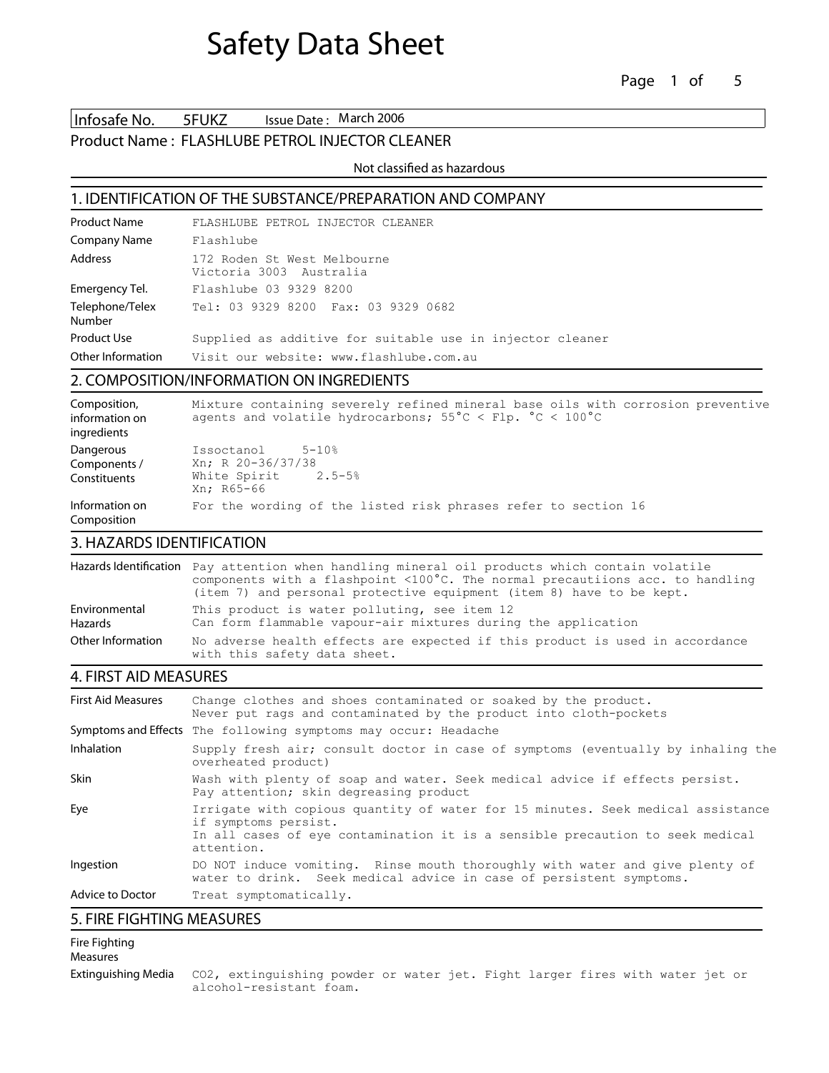Infosafe No. 5FUKZ Issue Date: March 2006

#### Product Name : **FLASHLUBE PETROL INJECTOR CLEANER**

Not classified as hazardous

#### **1. IDENTIFICATION OF THE SUBSTANCE/PREPARATION AND COMPANY**

| <b>Product Name</b>       | FLASHLUBE PETROL INJECTOR CLEANER                         |
|---------------------------|-----------------------------------------------------------|
| <b>Company Name</b>       | Flashlube                                                 |
| Address                   | 172 Roden St West Melbourne<br>Victoria 3003 Australia    |
| Emergency Tel.            | Flashlube 03 9329 8200                                    |
| Telephone/Telex<br>Number | Tel: 03 9329 8200 Fax: 03 9329 0682                       |
| Product Use               | Supplied as additive for suitable use in injector cleaner |
| Other Information         | Visit our website: www.flashlube.com.au                   |

## **2. COMPOSITION/INFORMATION ON INGREDIENTS**

| Composition,<br>information on<br>ingredients | Mixture containing severely refined mineral base oils with corrosion preventive<br>agents and volatile hydrocarbons; $55^{\circ}$ C < Flp. $^{\circ}$ C < 100 $^{\circ}$ C |
|-----------------------------------------------|----------------------------------------------------------------------------------------------------------------------------------------------------------------------------|
| Dangerous<br>Components /<br>Constituents     | Issoctanol<br>$5 - 10$ %<br>Xn; R 20-36/37/38<br>White Spirit 2.5-5%<br>Xn: R65-66                                                                                         |
| Information on<br>Composition                 | For the wording of the listed risk phrases refer to section 16                                                                                                             |

## **3. HAZARDS IDENTIFICATION**

|                                 | Hazards Identification Pay attention when handling mineral oil products which contain volatile<br>components with a flashpoint $\langle 100^{\circ}$ C. The normal precautiions acc. to handling<br>(item 7) and personal protective equipment (item 8) have to be kept. |
|---------------------------------|--------------------------------------------------------------------------------------------------------------------------------------------------------------------------------------------------------------------------------------------------------------------------|
| Environmental<br><b>Hazards</b> | This product is water polluting, see item 12<br>Can form flammable vapour-air mixtures during the application                                                                                                                                                            |
| Other Information               | No adverse health effects are expected if this product is used in accordance<br>with this safety data sheet.                                                                                                                                                             |

## **4. FIRST AID MEASURES**

| <b>First Aid Measures</b> | Change clothes and shoes contaminated or soaked by the product.<br>Never put rags and contaminated by the product into cloth-pockets                                                                   |
|---------------------------|--------------------------------------------------------------------------------------------------------------------------------------------------------------------------------------------------------|
|                           | Symptoms and Effects The following symptoms may occur: Headache                                                                                                                                        |
| <b>Inhalation</b>         | Supply fresh air; consult doctor in case of symptoms (eventually by inhaling the<br>overheated product)                                                                                                |
| <b>Skin</b>               | Wash with plenty of soap and water. Seek medical advice if effects persist.<br>Pay attention; skin degreasing product                                                                                  |
| Eye                       | Irrigate with copious quantity of water for 15 minutes. Seek medical assistance<br>if symptoms persist.<br>In all cases of eye contamination it is a sensible precaution to seek medical<br>attention. |
| Ingestion                 | DO NOT induce vomiting. Rinse mouth thoroughly with water and give plenty of<br>water to drink. Seek medical advice in case of persistent symptoms.                                                    |
| <b>Advice to Doctor</b>   | Treat symptomatically.                                                                                                                                                                                 |

## **5. FIRE FIGHTING MEASURES**

#### **Fire Fighting Measures**

**Extinguishing Media** CO2, extinguishing powder or water jet. Fight larger fires with water jet or alcohol-resistant foam.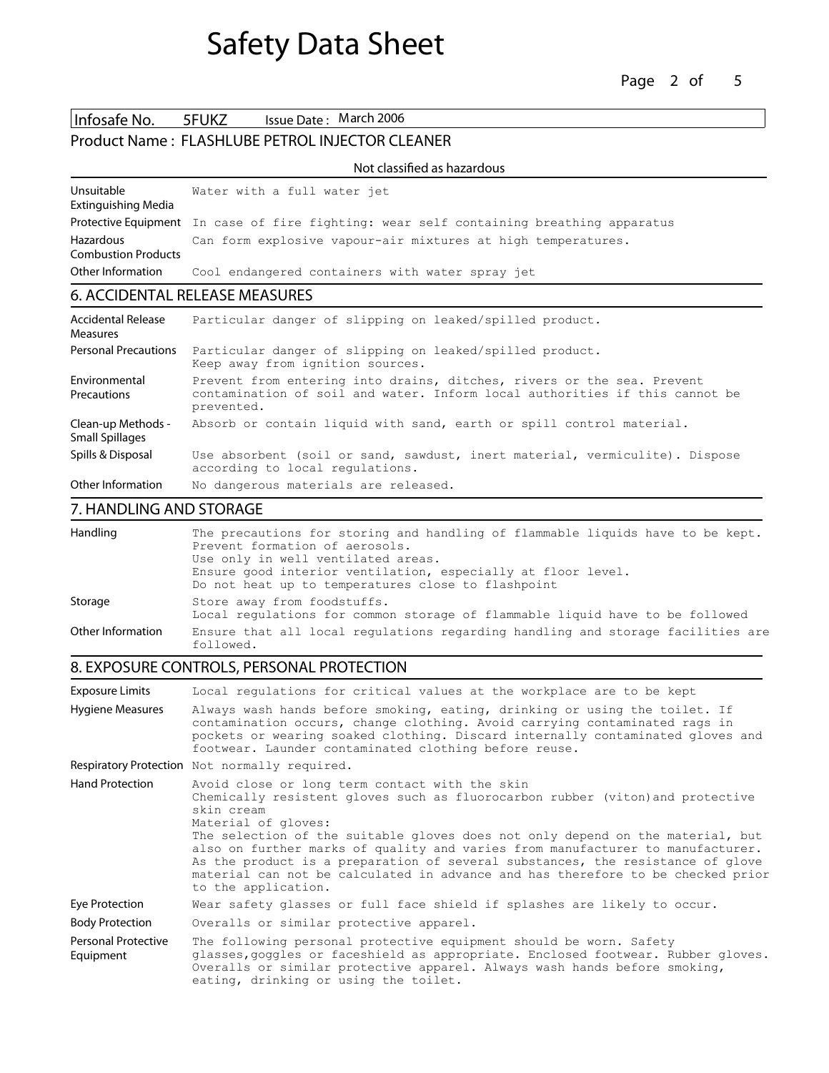Infosafe No. 5FUKZ Issue Date: March 2006 Product Name : **FLASHLUBE PETROL INJECTOR CLEANER**

#### Not classified as hazardous

| Unsuitable                 | Water with a full water jet                                                             |
|----------------------------|-----------------------------------------------------------------------------------------|
| Extinguishing Media        |                                                                                         |
|                            | Protective Equipment In case of fire fighting: wear self containing breathing apparatus |
| Hazardous                  | Can form explosive vapour-air mixtures at high temperatures.                            |
| <b>Combustion Products</b> |                                                                                         |
| Other Information          | Cool endangered containers with water spray jet                                         |

## **6. ACCIDENTAL RELEASE MEASURES**

| <b>Accidental Release</b><br><b>Measures</b> | Particular danger of slipping on leaked/spilled product.                                                                                                            |
|----------------------------------------------|---------------------------------------------------------------------------------------------------------------------------------------------------------------------|
| <b>Personal Precautions</b>                  | Particular danger of slipping on leaked/spilled product.<br>Keep away from ignition sources.                                                                        |
| Environmental<br>Precautions                 | Prevent from entering into drains, ditches, rivers or the sea. Prevent<br>contamination of soil and water. Inform local authorities if this cannot be<br>prevented. |
| Clean-up Methods -<br><b>Small Spillages</b> | Absorb or contain liquid with sand, earth or spill control material.                                                                                                |
| Spills & Disposal                            | Use absorbent (soil or sand, sawdust, inert material, vermiculite). Dispose<br>according to local regulations.                                                      |
| Other Information                            | No dangerous materials are released.                                                                                                                                |

## **7. HANDLING AND STORAGE**

| Handling          | The precautions for storing and handling of flammable liquids have to be kept.<br>Prevent formation of aerosols.<br>Use only in well ventilated areas.<br>Ensure good interior ventilation, especially at floor level.<br>Do not heat up to temperatures close to flashpoint |
|-------------------|------------------------------------------------------------------------------------------------------------------------------------------------------------------------------------------------------------------------------------------------------------------------------|
| Storage           | Store away from foodstuffs.<br>Local requlations for common storage of flammable liquid have to be followed                                                                                                                                                                  |
| Other Information | Ensure that all local regulations regarding handling and storage facilities are<br>followed.                                                                                                                                                                                 |

## **8. EXPOSURE CONTROLS, PERSONAL PROTECTION**

| <b>Exposure Limits</b>           | Local requlations for critical values at the workplace are to be kept                                                                                                                                                                                                                                                                                                                                                                                                                                                                 |
|----------------------------------|---------------------------------------------------------------------------------------------------------------------------------------------------------------------------------------------------------------------------------------------------------------------------------------------------------------------------------------------------------------------------------------------------------------------------------------------------------------------------------------------------------------------------------------|
| <b>Hygiene Measures</b>          | Always wash hands before smoking, eating, drinking or using the toilet. If<br>contamination occurs, change clothing. Avoid carrying contaminated rags in<br>pockets or wearing soaked clothing. Discard internally contaminated gloves and<br>footwear. Launder contaminated clothing before reuse.                                                                                                                                                                                                                                   |
|                                  | Respiratory Protection Not normally required.                                                                                                                                                                                                                                                                                                                                                                                                                                                                                         |
| <b>Hand Protection</b>           | Avoid close or long term contact with the skin<br>Chemically resistent gloves such as fluorocarbon rubber (viton) and protective<br>skin cream<br>Material of gloves:<br>The selection of the suitable gloves does not only depend on the material, but<br>also on further marks of quality and varies from manufacturer to manufacturer.<br>As the product is a preparation of several substances, the resistance of glove<br>material can not be calculated in advance and has therefore to be checked prior<br>to the application. |
| Eye Protection                   | Wear safety glasses or full face shield if splashes are likely to occur.                                                                                                                                                                                                                                                                                                                                                                                                                                                              |
| <b>Body Protection</b>           | Overalls or similar protective apparel.                                                                                                                                                                                                                                                                                                                                                                                                                                                                                               |
| Personal Protective<br>Equipment | The following personal protective equipment should be worn. Safety<br>glasses, goggles or faceshield as appropriate. Enclosed footwear. Rubber gloves.<br>Overalls or similar protective apparel. Always wash hands before smoking,<br>eating, drinking or using the toilet.                                                                                                                                                                                                                                                          |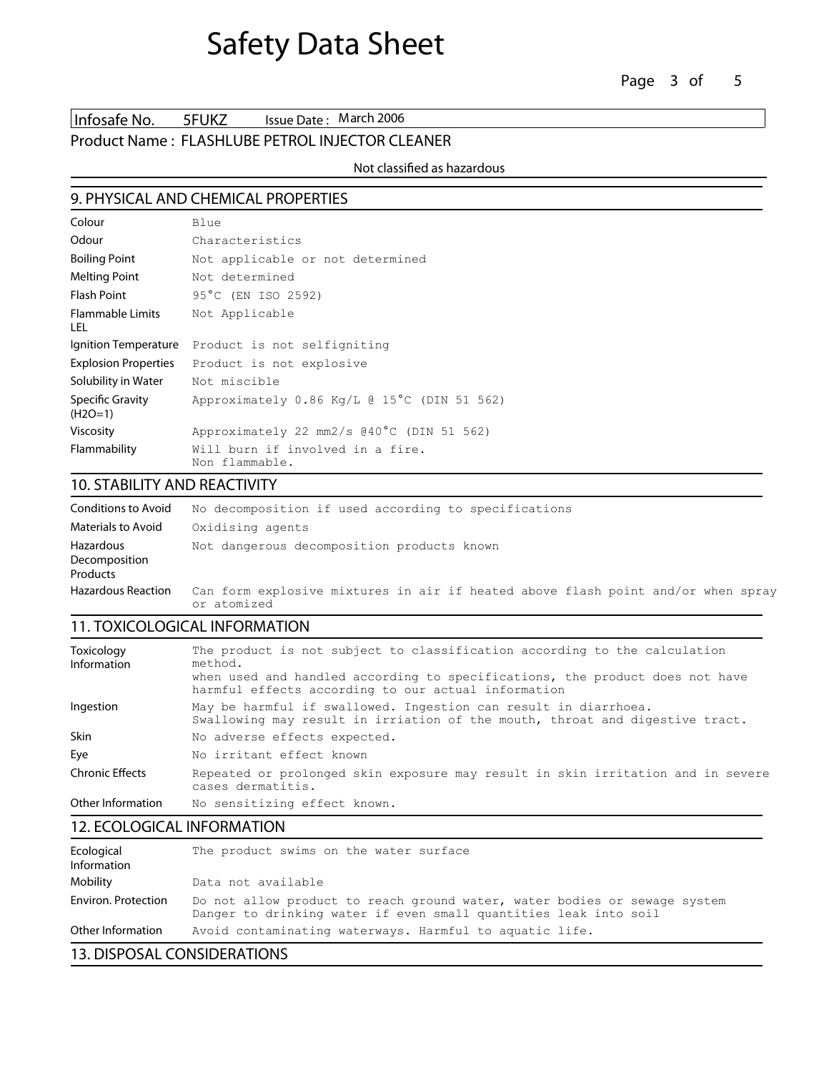Infosafe No. 5FUKZ Issue Date: March 2006

## Product Name : **FLASHLUBE PETROL INJECTOR CLEANER**

#### Not classified as hazardous

## **9. PHYSICAL AND CHEMICAL PROPERTIES**

| Colour                          | Blue                                               |
|---------------------------------|----------------------------------------------------|
| Odour                           | Characteristics                                    |
| Boiling Point                   | Not applicable or not determined                   |
| Melting Point                   | Not determined                                     |
| <b>Flash Point</b>              | 95°C (EN ISO 2592)                                 |
| <b>Flammable Limits</b><br>LEL. | Not Applicable                                     |
| Ignition Temperature            | Product is not selfigniting                        |
| <b>Explosion Properties</b>     | Product is not explosive                           |
| Solubility in Water             | Not miscible                                       |
| Specific Gravity<br>$(H2O=1)$   | Approximately 0.86 Kg/L @ 15°C (DIN 51 562)        |
| <b>Viscosity</b>                | Approximately 22 mm2/s @40°C (DIN 51 562)          |
| Flammability                    | Will burn if involved in a fire.<br>Non flammable. |

## **10. STABILITY AND REACTIVITY**

| Conditions to Avoid                                  | No decomposition if used according to specifications                                            |
|------------------------------------------------------|-------------------------------------------------------------------------------------------------|
| Materials to Avoid                                   | Oxidising agents                                                                                |
| <b>Hazardous</b><br>Decomposition<br><b>Products</b> | Not dangerous decomposition products known                                                      |
| Hazardous Reaction                                   | Can form explosive mixtures in air if heated above flash point and/or when spray<br>or atomized |

## **11. TOXICOLOGICAL INFORMATION**

| Toxicology<br>Information | The product is not subject to classification according to the calculation<br>method.                                                            |
|---------------------------|-------------------------------------------------------------------------------------------------------------------------------------------------|
|                           | when used and handled according to specifications, the product does not have<br>harmful effects according to our actual information             |
| Ingestion                 | May be harmful if swallowed. Ingestion can result in diarrhoea.<br>Swallowing may result in irriation of the mouth, throat and digestive tract. |
| <b>Skin</b>               | No adverse effects expected.                                                                                                                    |
| Eye                       | No irritant effect known                                                                                                                        |
| Chronic Effects           | Repeated or prolonged skin exposure may result in skin irritation and in severe<br>cases dermatitis.                                            |
| Other Information         | No sensitizing effect known.                                                                                                                    |
|                           |                                                                                                                                                 |

## **12. ECOLOGICAL INFORMATION**

| Ecological<br>Information | The product swims on the water surface                                                                                                        |
|---------------------------|-----------------------------------------------------------------------------------------------------------------------------------------------|
| Mobility                  | Data not available                                                                                                                            |
| Environ. Protection       | Do not allow product to reach ground water, water bodies or sewage system<br>Danger to drinking water if even small quantities leak into soil |
| Other Information         | Avoid contaminating waterways. Harmful to aquatic life.                                                                                       |

## **13. DISPOSAL CONSIDERATIONS**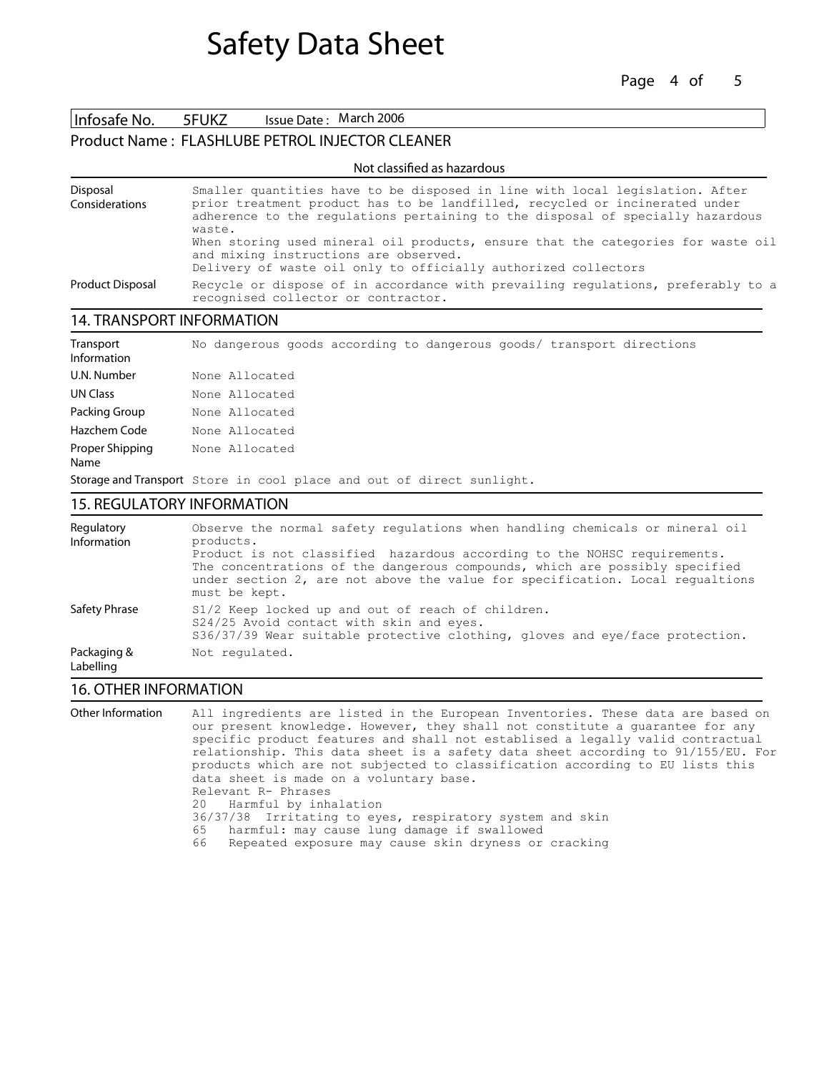Page 4 of 5

Infosafe No. 5FUKZ Issue Date: March 2006

## Product Name : **FLASHLUBE PETROL INJECTOR CLEANER**

| Not classified as hazardous |                                                                                                                                                                                                                                                         |  |
|-----------------------------|---------------------------------------------------------------------------------------------------------------------------------------------------------------------------------------------------------------------------------------------------------|--|
| Disposal<br>Considerations  | Smaller quantities have to be disposed in line with local legislation. After<br>prior treatment product has to be landfilled, recycled or incinerated under<br>adherence to the regulations pertaining to the disposal of specially hazardous<br>waste. |  |
|                             | When storing used mineral oil products, ensure that the categories for waste oil<br>and mixing instructions are observed.<br>Delivery of waste oil only to officially authorized collectors                                                             |  |
| <b>Product Disposal</b>     | Recycle or dispose of in accordance with prevailing regulations, preferably to a<br>recognised collector or contractor.                                                                                                                                 |  |

Not classied as hazardous

## **14. TRANSPORT INFORMATION**

| Transport<br>Information | No dangerous goods according to dangerous goods/ transport directions |
|--------------------------|-----------------------------------------------------------------------|
| U.N. Number              | None Allocated                                                        |
| <b>UN Class</b>          | None Allocated                                                        |
| Packing Group            | None Allocated                                                        |
| Hazchem Code             | None Allocated                                                        |
| Proper Shipping<br>Name  | None Allocated                                                        |
|                          | Storage and Transport Store in cool place and out of direct sunlight. |

#### **15. REGULATORY INFORMATION**

| Regulatory<br>Information | Observe the normal safety requlations when handling chemicals or mineral oil<br>products.<br>Product is not classified hazardous according to the NOHSC requirements.<br>The concentrations of the dangerous compounds, which are possibly specified<br>under section 2, are not above the value for specification. Local requaltions<br>must be kept. |
|---------------------------|--------------------------------------------------------------------------------------------------------------------------------------------------------------------------------------------------------------------------------------------------------------------------------------------------------------------------------------------------------|
| Safety Phrase             | S1/2 Keep locked up and out of reach of children.<br>S24/25 Avoid contact with skin and eyes.<br>s36/37/39 Wear suitable protective clothing, gloves and eye/face protection.                                                                                                                                                                          |
| Packaging &<br>Labelling  | Not regulated.                                                                                                                                                                                                                                                                                                                                         |

#### **16. OTHER INFORMATION**

**Other Information** All ingredients are listed in the European Inventories. These data are based on our present knowledge. However, they shall not constitute a guarantee for any specific product features and shall not establised a legally valid contractual relationship. This data sheet is a safety data sheet according to 91/155/EU. For products which are not subjected to classification according to EU lists this data sheet is made on a voluntary base. Relevant R- Phrases<br>20 Harmful by inha Harmful by inhalation 36/37/38 Irritating to eyes, respiratory system and skin 65 harmful: may cause lung damage if swallowed Repeated exposure may cause skin dryness or cracking